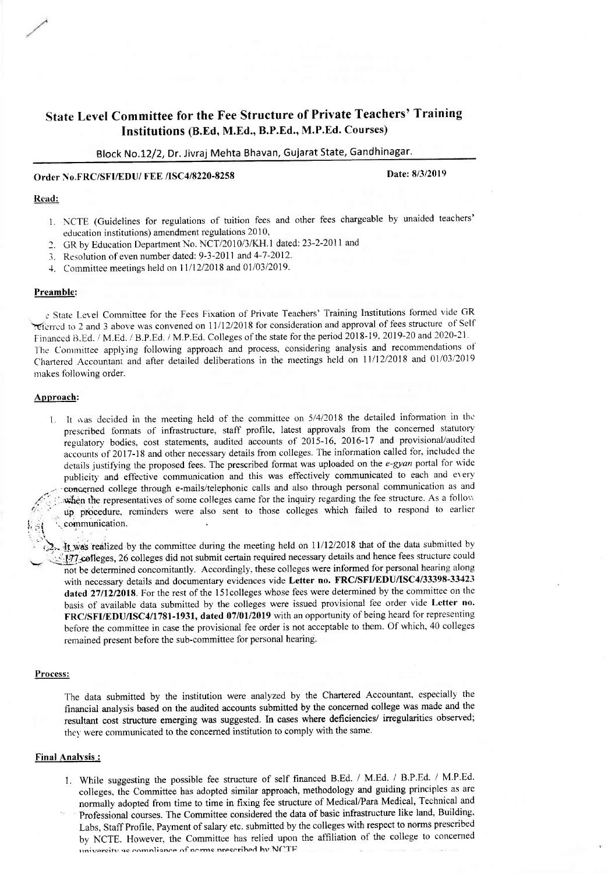# State Level Committee for the Fee Structure of Private Teachers' Training Institutions (B.Ed, M.Ed., B.P.Ed., M.P.Ed. Courses)

# Block No.12/2, Dr. Jivraj Mehta Bhavan, Gujarat State, Gandhinagar.

# Order No.FRCiSFI/EDU/ FEE /ISC4/8220-8258

Date: 8/3/2019

# Read:

- 1. NCTE (Guidelines for regulations of tuition fees and other fees chargeable by unaided teachers' education institutions) amendment regulations 2010,
- 2. GR by Education Department No. NCT/2010/3/KH.1 dated: 23-2-2011 and
- 3. Resolution of even number dated: 9-3-2011 and 4-7-2012.
- 4. Committee meetings held on 11/12/2018 and 01/03/2019.

### Preamble:

 $\epsilon$  State Level Committee for the Fees Fixation of Private Teachers' Training Institutions formed vide GR referred to 2 and 3 above was convened on 11/12/2018 for consideration and approval of fees structure of Self Financed B.Ed. / M.Ed. / B.P.Ed. / M.P.Ed. Colleges of the state for the period 2018-19, 2019-20 and 2020-21. The Committee applying following approach and process, considering analysis and recommendations of Chartered Accountant and after detailed deliberations in the meetings held on 11/12/2018 and 01/03/2019 makes following order.

### Approach:

1. It was decided in the meeting held of the committee on  $5/4/2018$  the detailed information in the prescribed formats of infrastructure, staff profile, latest approvals from the concerned statutory iegulatory bodies. cost statements, audited accounts of 2015-16, 2016-17 and provisional/audited accounts of 2017-18 and other necessary details from colleges. The information called for, included the details justifying the proposed fees. The prescribed format was uploaded on the e-gyan portal for wide publicity and effective communication and this was effectively communicated to each and every congerned college through e-mails/telephonic calls and also through personal communication as and when the representatives of some colleges came for the inquiry regarding the fee structure. As a follow up procedure, reminders were also sent to those colleges which failed to respond to earlier communication.

It was realized by the committee during the meeting held on  $11/12/2018$  that of the data submitted by  $177$  colleges, 26 colleges did not submit certain required necessary details and hence fees structure could not be determined concomitantly. Accordingly, these colleges were informed for personal hearing along with necessary details and documentary evidences vide Letter no. FRC/SFI/EDU/ISC4/33398-33423 dated 27112/2018. For the rest of the l5lcolleges whose fees were determined by the committee on the basis of available data submitted by the colleges were issued provisional fee order vide Letter no. FRC/SFI/EDU/ISC4/1781-1931, dated 07/01/2019 with an opportunity of being heard for representing before the committee in case the provisional fee order is not acceptable to them. Of which,40 colleges rernained present before the sub-committee for personal hearing.

#### Process:

The data submitted by the institution were analyzed by the Chartered Accountant, especially the financial analysis based on the audited accounts submitted by the concerned college was made and the resultant cost structure emerging was suggested. In cases where deficiencies/ inegularities observed; they were communicated to the concerned institution to comply with the same.

# Final Analysis :

1. While suggesting the possible fee structure of self financed B.Ed. / M.Ed. / B.P.Ed. / M.P.Ed. colleges, the Committee has adopted similar approach, methodology and guiding principles as are normally adopted from time to time in fixing fee structure of Medical/Para Medical, Technical and Professional courses. The Committee considered the data of basic infrastructure like land, Building. Labs, Staff Profile, Payment of salary etc. submitted by the colleges with respect to norms prescribed by NCTE. However. the Committee has relied upon the affiliation of the college to concerned university as compliance of norms prescribed hy NCTF